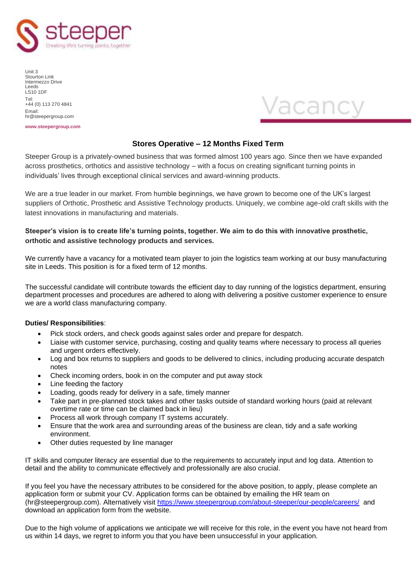

Unit 3 Stourton Link Intermezzo Drive Leeds LS10 1DF Tel: +44 (0) 113 270 4841 Email: hr@steepergroup.com





## **Stores Operative – 12 Months Fixed Term**

Steeper Group is a privately-owned business that was formed almost 100 years ago. Since then we have expanded across prosthetics, orthotics and assistive technology – with a focus on creating significant turning points in individuals' lives through exceptional clinical services and award-winning products.

We are a true leader in our market. From humble beginnings, we have grown to become one of the UK's largest suppliers of Orthotic, Prosthetic and Assistive Technology products. Uniquely, we combine age-old craft skills with the latest innovations in manufacturing and materials.

## **Steeper's vision is to create life's turning points, together. We aim to do this with innovative prosthetic, orthotic and assistive technology products and services.**

We currently have a vacancy for a motivated team player to join the logistics team working at our busy manufacturing site in Leeds. This position is for a fixed term of 12 months.

The successful candidate will contribute towards the efficient day to day running of the logistics department, ensuring department processes and procedures are adhered to along with delivering a positive customer experience to ensure we are a world class manufacturing company.

## **Duties/ Responsibilities**:

- Pick stock orders, and check goods against sales order and prepare for despatch.
- Liaise with customer service, purchasing, costing and quality teams where necessary to process all queries and urgent orders effectively.
- Log and box returns to suppliers and goods to be delivered to clinics, including producing accurate despatch notes
- Check incoming orders, book in on the computer and put away stock
- Line feeding the factory
- Loading, goods ready for delivery in a safe, timely manner
- Take part in pre-planned stock takes and other tasks outside of standard working hours (paid at relevant overtime rate or time can be claimed back in lieu)
- Process all work through company IT systems accurately.
- Ensure that the work area and surrounding areas of the business are clean, tidy and a safe working environment.
- Other duties requested by line manager

IT skills and computer literacy are essential due to the requirements to accurately input and log data. Attention to detail and the ability to communicate effectively and professionally are also crucial.

If you feel you have the necessary attributes to be considered for the above position, to apply, please complete an application form or submit your CV. Application forms can be obtained by emailing the HR team on (hr@steepergroup.com). Alternatively visit<https://www.steepergroup.com/about-steeper/our-people/careers/> and download an application form from the website.

Due to the high volume of applications we anticipate we will receive for this role, in the event you have not heard from us within 14 days, we regret to inform you that you have been unsuccessful in your application.